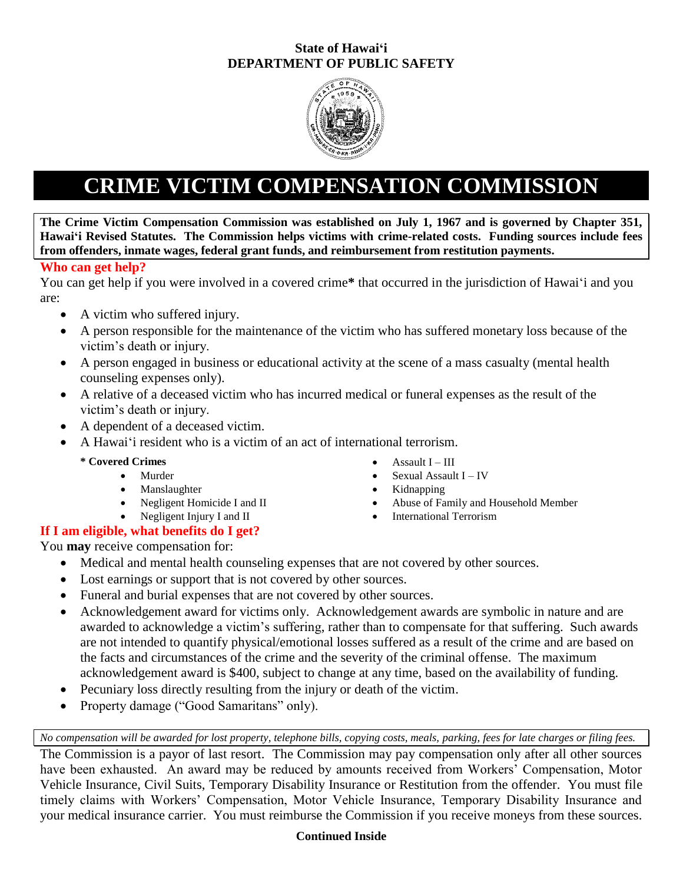# **State of Hawai'i DEPARTMENT OF PUBLIC SAFETY**



# **CRIME VICTIM COMPENSATION COMMISSION**

**The Crime Victim Compensation Commission was established on July 1, 1967 and is governed by Chapter 351, Hawai'i Revised Statutes. The Commission helps victims with crime-related costs. Funding sources include fees from offenders, inmate wages, federal grant funds, and reimbursement from restitution payments.**

# **Who can get help?**

You can get help if you were involved in a covered crime**\*** that occurred in the jurisdiction of Hawai'i and you are:

- A victim who suffered injury.
- A person responsible for the maintenance of the victim who has suffered monetary loss because of the victim's death or injury.
- A person engaged in business or educational activity at the scene of a mass casualty (mental health counseling expenses only).
- A relative of a deceased victim who has incurred medical or funeral expenses as the result of the victim's death or injury.
- A dependent of a deceased victim.
- A Hawai'i resident who is a victim of an act of international terrorism.

# **\* Covered Crimes Covered Crimes Assault I – III**

- Murder Sexual Assault I IV
- Manslaughter Kidnapping
- Negligent Homicide I and II **Abuse of Family and Household Member**
- Negligent Injury I and II International Terrorism

# **If I am eligible, what benefits do I get?**

You **may** receive compensation for:

- Medical and mental health counseling expenses that are not covered by other sources.
- Lost earnings or support that is not covered by other sources.
- Funeral and burial expenses that are not covered by other sources.
- Acknowledgement award for victims only. Acknowledgement awards are symbolic in nature and are awarded to acknowledge a victim's suffering, rather than to compensate for that suffering. Such awards are not intended to quantify physical/emotional losses suffered as a result of the crime and are based on the facts and circumstances of the crime and the severity of the criminal offense. The maximum acknowledgement award is \$400, subject to change at any time, based on the availability of funding.
- Pecuniary loss directly resulting from the injury or death of the victim.
- Property damage ("Good Samaritans" only).

*No compensation will be awarded for lost property, telephone bills, copying costs, meals, parking, fees for late charges or filing fees.*

The Commission is a payor of last resort. The Commission may pay compensation only after all other sources have been exhausted. An award may be reduced by amounts received from Workers' Compensation, Motor Vehicle Insurance, Civil Suits, Temporary Disability Insurance or Restitution from the offender. You must file timely claims with Workers' Compensation, Motor Vehicle Insurance, Temporary Disability Insurance and your medical insurance carrier. You must reimburse the Commission if you receive moneys from these sources.

# **Continued Inside**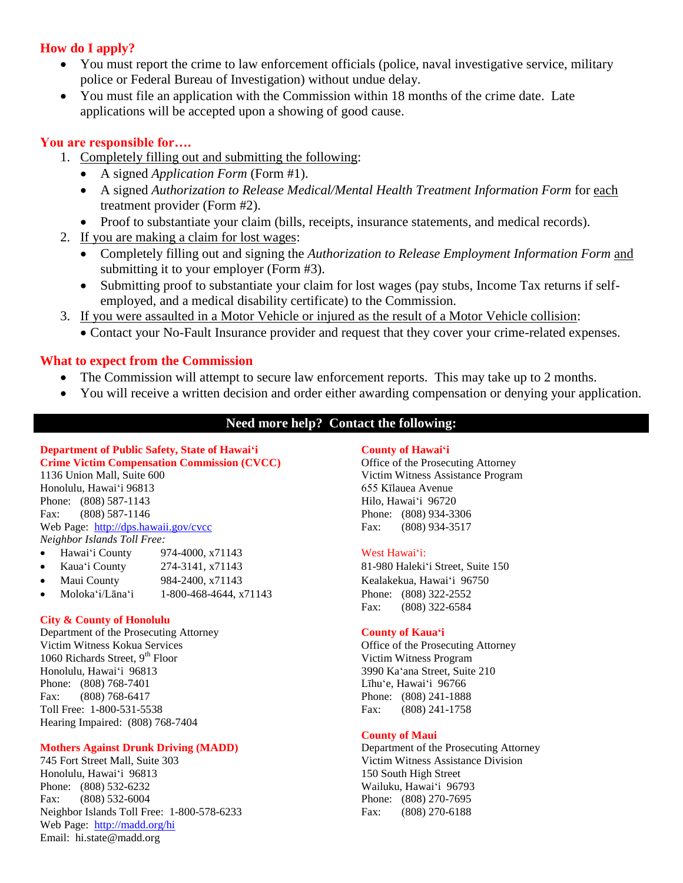# **How do I apply?**

- You must report the crime to law enforcement officials (police, naval investigative service, military police or Federal Bureau of Investigation) without undue delay.
- You must file an application with the Commission within 18 months of the crime date. Late applications will be accepted upon a showing of good cause.

## **You are responsible for….**

- 1. Completely filling out and submitting the following:
	- A signed *Application Form* (Form #1).
	- A signed *Authorization to Release Medical/Mental Health Treatment Information Form* for each treatment provider (Form #2).
	- Proof to substantiate your claim (bills, receipts, insurance statements, and medical records).
- 2. If you are making a claim for lost wages:
	- Completely filling out and signing the *Authorization to Release Employment Information Form* and submitting it to your employer (Form #3).
	- Submitting proof to substantiate your claim for lost wages (pay stubs, Income Tax returns if selfemployed, and a medical disability certificate) to the Commission.
- 3. If you were assaulted in a Motor Vehicle or injured as the result of a Motor Vehicle collision:
	- Contact your No-Fault Insurance provider and request that they cover your crime-related expenses.

# **What to expect from the Commission**

- The Commission will attempt to secure law enforcement reports. This may take up to 2 months.
- You will receive a written decision and order either awarding compensation or denying your application.

# **Need more help? Contact the following:**

### **Department of Public Safety, State of Hawai'i County of Hawai'i Crime Victim Compensation Commission (CVCC)** Office of the Prosecuting Attorney 1136 Union Mall, Suite 600 Victim Witness Assistance Program

Honolulu, Hawai'i 96813 655 Kīlauea Avenue Phone: (808) 587-1143 Hilo, Hawai'i 96720 Fax: (808) 587-1146 Phone: (808) 934-3306 Web Page: [http://dps.hawaii.gov/cvcc](http://www.hawaii.gov/cvcc) Fax: (808) 934-3517

*Neighbor Islands Toll Free:*

- Hawai'i County 974-4000, x71143 West Hawai'i:
- Kaua'i County 274-3141, x71143 81-980 Haleki'i Street, Suite 150
- Maui County 984-2400, x71143 Kealakekua, Hawai'i 96750
- Moloka'i/Lāna'i 1-800-468-4644, x71143 Phone: (808) 322-2552

#### **City & County of Honolulu**

Department of the Prosecuting Attorney **County of Kaua'i** Victim Witness Kokua Services Office of the Prosecuting Attorney 1060 Richards Street, 9<sup>th</sup> Floor Victim Witness Program Honolulu. Hawai'i 96813 3990 Ka'ana Street. Suite Phone: (808) 768-7401 **Linux** 2008 10: **Linux** 2008 10: **Linux** 2008 10: **Linux** 2008 10: **Linux** 2008 10: **Linux** 2008 10: **Linux** 2008 10: **Linux** 2008 10: **Linux** 2008 10: **Linux** 20: **Linux** 20: **Linux** 20: **Linux** 20: Fax: (808) 768-6417 Phone: (808) 241-1888 Toll Free: 1-800-531-5538 Fax: (808) 241-1758 Hearing Impaired: (808) 768-7404

#### **Mothers Against Drunk Driving (MADD)** Department of the Prosecuting Attorney

Honolulu, Hawai'i 96813 150 South High Street Phone: (808) 532-6232 Wailuku, Hawai'i 96793 Fax: (808) 532-6004 Phone: (808) 270-7695 Neighbor Islands Toll Free: 1-800-578-6233 Fax: (808) 270-6188 Web Page:<http://madd.org/hi> Email: hi.state@madd.org

Fax: (808) 322-6584

3990 Ka'ana Street, Suite 210

#### **County of Maui**

745 Fort Street Mall, Suite 303 Victim Witness Assistance Division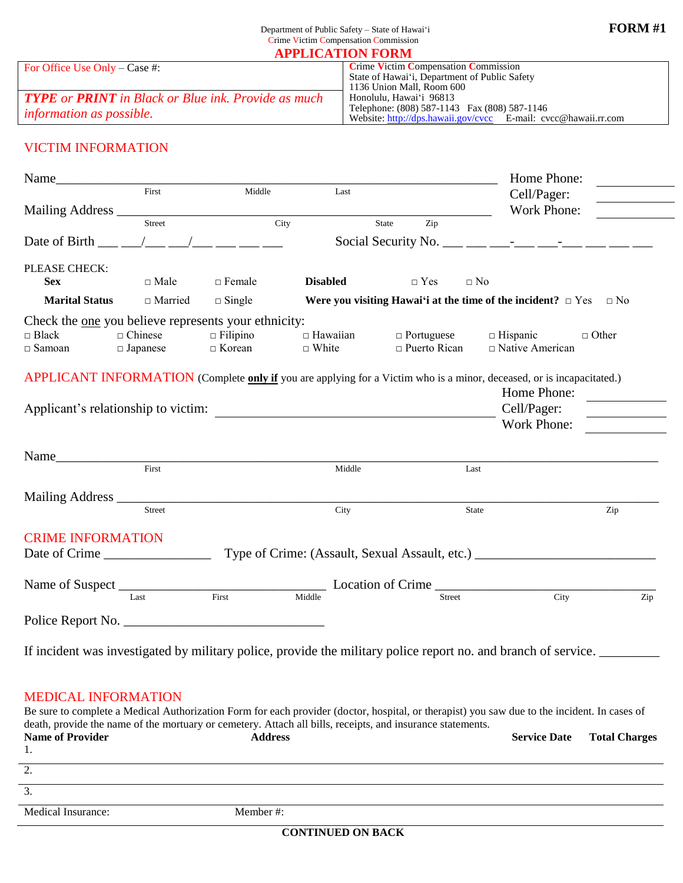| APPLICATION FORM                                                  |                                                                |  |  |
|-------------------------------------------------------------------|----------------------------------------------------------------|--|--|
| For Office Use Only – Case #:                                     | <b>Crime Victim Compensation Commission</b>                    |  |  |
|                                                                   | State of Hawai'i, Department of Public Safety                  |  |  |
|                                                                   | 1136 Union Mall. Room 600                                      |  |  |
| <b>TYPE</b> or <b>PRINT</b> in Black or Blue ink. Provide as much | Honolulu, Hawai'i 96813                                        |  |  |
| <i>information as possible.</i>                                   | Telephone: (808) 587-1143 Fax (808) 587-1146                   |  |  |
|                                                                   | Website: http://dps.hawaii.gov/cvcc E-mail: cvcc@hawaii.rr.com |  |  |

# VICTIM INFORMATION

|                               |                                   |                                                      |                                 |                                          | Home Phone:                                                                                                           |              |
|-------------------------------|-----------------------------------|------------------------------------------------------|---------------------------------|------------------------------------------|-----------------------------------------------------------------------------------------------------------------------|--------------|
|                               | First                             | Middle                                               | Last                            |                                          | Cell/Pager:                                                                                                           |              |
| Mailing Address __            |                                   |                                                      |                                 |                                          | Work Phone:                                                                                                           |              |
|                               | Street                            | City                                                 |                                 | State<br>Zip                             |                                                                                                                       |              |
| Date of Birth                 |                                   |                                                      |                                 |                                          |                                                                                                                       |              |
| PLEASE CHECK:                 |                                   |                                                      |                                 |                                          |                                                                                                                       |              |
| <b>Sex</b>                    | $\Box$ Male                       | $\Box$ Female                                        | <b>Disabled</b>                 | $\Box$ Yes                               | $\square$ No                                                                                                          |              |
| <b>Marital Status</b>         | $\Box$ Married                    | $\Box$ Single                                        |                                 |                                          | Were you visiting Hawai'i at the time of the incident? $\Box$ Yes $\Box$ No                                           |              |
|                               |                                   | Check the one you believe represents your ethnicity: |                                 |                                          |                                                                                                                       |              |
| $\Box$ Black<br>$\Box$ Samoan | $\Box$ Chinese<br>$\Box$ Japanese | $\Box$ Filipino<br>$\Box$ Korean                     | $\Box$ Hawaiian<br>$\Box$ White | $\Box$ Portuguese<br>$\Box$ Puerto Rican | $\Box$ Hispanic<br>$\Box$ Native American                                                                             | $\Box$ Other |
|                               |                                   |                                                      |                                 |                                          | APPLICANT INFORMATION (Complete only if you are applying for a Victim who is a minor, deceased, or is incapacitated.) |              |
|                               |                                   |                                                      |                                 |                                          | Home Phone:                                                                                                           |              |
|                               |                                   | Applicant's relationship to victim:                  |                                 |                                          | Cell/Pager:                                                                                                           |              |
|                               |                                   |                                                      |                                 |                                          | <b>Work Phone:</b>                                                                                                    |              |
|                               |                                   |                                                      |                                 |                                          |                                                                                                                       |              |
| Name                          |                                   |                                                      |                                 |                                          |                                                                                                                       |              |
|                               | $\overline{First}$                |                                                      | Middle                          |                                          | Last                                                                                                                  |              |
|                               |                                   |                                                      |                                 |                                          |                                                                                                                       |              |
|                               | <b>Street</b>                     |                                                      | City                            |                                          | State                                                                                                                 | Zip          |
| <b>CRIME INFORMATION</b>      |                                   |                                                      |                                 |                                          |                                                                                                                       |              |
| Date of Crime                 |                                   |                                                      |                                 |                                          | Type of Crime: (Assault, Sexual Assault, etc.) __________________________________                                     |              |
|                               |                                   |                                                      |                                 |                                          |                                                                                                                       |              |
|                               | Last                              | First                                                | Middle                          | Street                                   | City                                                                                                                  | Zip          |
|                               |                                   |                                                      |                                 |                                          |                                                                                                                       |              |
|                               |                                   |                                                      |                                 |                                          |                                                                                                                       |              |
|                               |                                   |                                                      |                                 |                                          | If incident was investigated by military police, provide the military police report no. and branch of service.        |              |

### MEDICAL INFORMATION

Be sure to complete a Medical Authorization Form for each provider (doctor, hospital, or therapist) you saw due to the incident. In cases of death, provide the name of the mortuary or cemetery. Attach all bills, receipts, and insurance statements. **Name of Provider Address Service Date Total Charges** 1. 2. 3. Medical Insurance: Member #: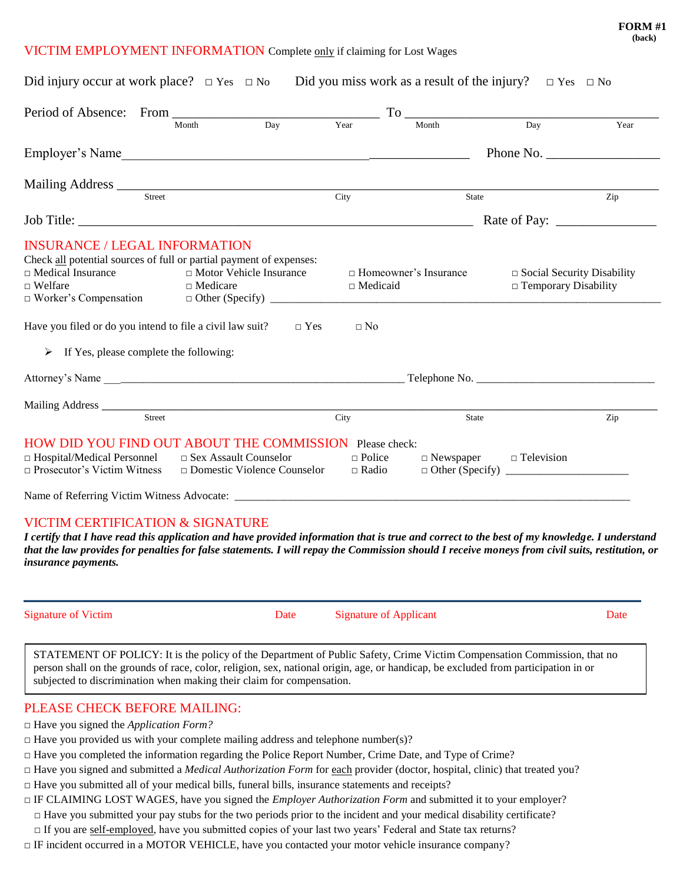#### VICTIM EMPLOYMENT INFORMATION Complete only if claiming for Lost Wages

| Did injury occur at work place? $\Box$ Yes $\Box$ No Did you miss work as a result of the injury? $\Box$ Yes $\Box$ No                                                                                                                                                                                                                          |                                    |                               |                                                                                                                                                      |                                                                     |      |
|-------------------------------------------------------------------------------------------------------------------------------------------------------------------------------------------------------------------------------------------------------------------------------------------------------------------------------------------------|------------------------------------|-------------------------------|------------------------------------------------------------------------------------------------------------------------------------------------------|---------------------------------------------------------------------|------|
| Period of Absence: From Month Day Year                                                                                                                                                                                                                                                                                                          |                                    |                               | $To$ $\frac{1}{\sqrt{2\pi}}$ $\frac{1}{\sqrt{2\pi}}$ $\frac{1}{\sqrt{2\pi}}$ $\frac{1}{\sqrt{2\pi}}$ $\frac{1}{\sqrt{2\pi}}$ $\frac{1}{\sqrt{2\pi}}$ |                                                                     |      |
|                                                                                                                                                                                                                                                                                                                                                 |                                    |                               |                                                                                                                                                      |                                                                     | Year |
| Employer's Name                                                                                                                                                                                                                                                                                                                                 |                                    |                               |                                                                                                                                                      | Phone No. $\frac{1}{\sqrt{1-\frac{1}{2}} \cdot \frac{1}{2}}$        |      |
| Mailing Address Street City                                                                                                                                                                                                                                                                                                                     |                                    |                               |                                                                                                                                                      |                                                                     |      |
|                                                                                                                                                                                                                                                                                                                                                 |                                    |                               | State                                                                                                                                                |                                                                     | Zip  |
|                                                                                                                                                                                                                                                                                                                                                 |                                    |                               |                                                                                                                                                      |                                                                     |      |
| <b>INSURANCE / LEGAL INFORMATION</b><br>Check all potential sources of full or partial payment of expenses:<br>□ Motor Vehicle Insurance<br>$\Box$ Medical Insurance<br>$\Box$ Welfare<br>$\Box$ Medicare<br>Have you filed or do you intend to file a civil law suit? $\square$ Yes<br>$\triangleright$ If Yes, please complete the following: |                                    | $\Box$ Medicaid<br>$\Box$ No  | $\Box$ Homeowner's Insurance                                                                                                                         | $\square$ Social Security Disability<br>$\Box$ Temporary Disability |      |
|                                                                                                                                                                                                                                                                                                                                                 |                                    |                               |                                                                                                                                                      |                                                                     |      |
|                                                                                                                                                                                                                                                                                                                                                 |                                    |                               |                                                                                                                                                      |                                                                     |      |
| Street                                                                                                                                                                                                                                                                                                                                          |                                    | City                          | State                                                                                                                                                |                                                                     | Zip  |
| HOW DID YOU FIND OUT ABOUT THE COMMISSION Please check:<br>$\Box$ Hospital/Medical Personnel<br>$\Box$ Sex Assault Counselor<br>$\Box$ Prosecutor's Victim Witness                                                                                                                                                                              | $\Box$ Domestic Violence Counselor | $\Box$ Police<br>$\Box$ Radio | $\Box$ Newspaper $\Box$ Television                                                                                                                   |                                                                     |      |
|                                                                                                                                                                                                                                                                                                                                                 |                                    |                               |                                                                                                                                                      |                                                                     |      |

#### VICTIM CERTIFICATION & SIGNATURE

*I certify that I have read this application and have provided information that is true and correct to the best of my knowledge. I understand that the law provides for penalties for false statements. I will repay the Commission should I receive moneys from civil suits, restitution, or insurance payments.*

Signature of Victim Date Date Signature of Applicant Date Date Date

STATEMENT OF POLICY: It is the policy of the Department of Public Safety, Crime Victim Compensation Commission, that no person shall on the grounds of race, color, religion, sex, national origin, age, or handicap, be excluded from participation in or subjected to discrimination when making their claim for compensation.

### PLEASE CHECK BEFORE MAILING:

- □ Have you signed the *Application Form?*
- $\Box$  Have you provided us with your complete mailing address and telephone number(s)?
- □ Have you completed the information regarding the Police Report Number, Crime Date, and Type of Crime?
- □ Have you signed and submitted a *Medical Authorization Form* for each provider (doctor, hospital, clinic) that treated you?
- $\Box$  Have you submitted all of your medical bills, funeral bills, insurance statements and receipts?
- $\Box$  IF CLAIMING LOST WAGES, have you signed the *Employer Authorization Form* and submitted it to your employer?
	- $\Box$  Have you submitted your pay stubs for the two periods prior to the incident and your medical disability certificate?
	- $\Box$  If you are self-employed, have you submitted copies of your last two years' Federal and State tax returns?
- $\Box$  IF incident occurred in a MOTOR VEHICLE, have you contacted your motor vehicle insurance company?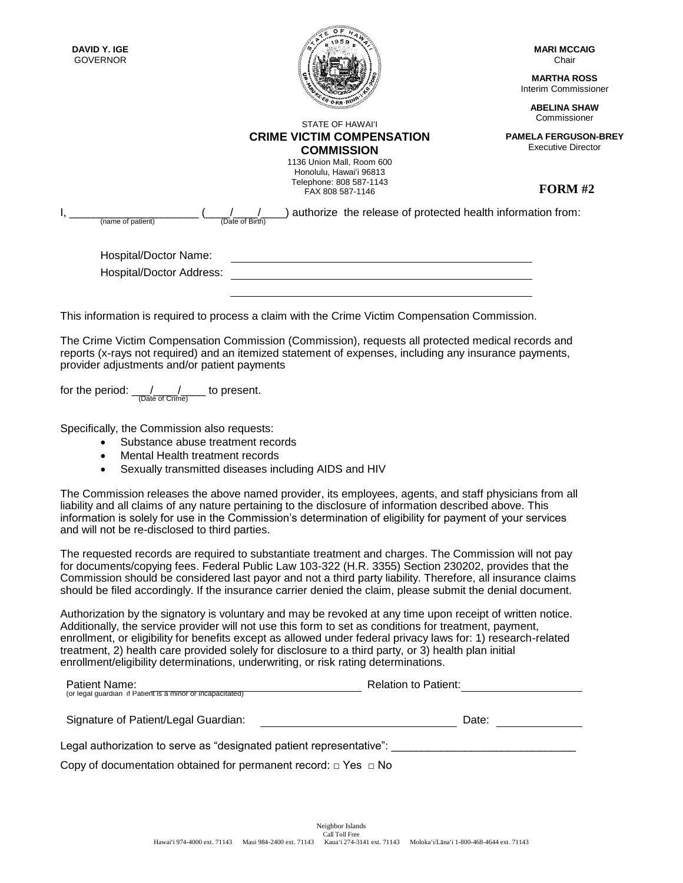| DAVID Y. IGE<br><b>GOVERNOR</b>                          |                                                                                                     | <b>MARI MCCAIG</b><br>Chair                              |
|----------------------------------------------------------|-----------------------------------------------------------------------------------------------------|----------------------------------------------------------|
|                                                          |                                                                                                     | <b>MARTHA ROSS</b><br>Interim Commissioner               |
|                                                          | STATE OF HAWAI'I                                                                                    | <b>ABELINA SHAW</b><br>Commissioner                      |
|                                                          | <b>CRIME VICTIM COMPENSATION</b><br><b>COMMISSION</b>                                               | <b>PAMELA FERGUSON-BREY</b><br><b>Executive Director</b> |
|                                                          | 1136 Union Mall, Room 600<br>Honolulu, Hawai'i 96813<br>Telephone: 808 587-1143<br>FAX 808 587-1146 | <b>FORM #2</b>                                           |
| (name of patient)                                        | authorize the release of protected health information from:<br>(Date of Birth)                      |                                                          |
| Hospital/Doctor Name:<br><b>Hospital/Doctor Address:</b> |                                                                                                     |                                                          |
|                                                          |                                                                                                     |                                                          |

<u>ssammans</u>

This information is required to process a claim with the Crime Victim Compensation Commission.

The Crime Victim Compensation Commission (Commission), requests all protected medical records and reports (x-rays not required) and an itemized statement of expenses, including any insurance payments, provider adjustments and/or patient payments

for the period:  $\frac{1}{\sqrt{(\text{Date of Crime})}}$  to present.

Specifically, the Commission also requests:

- Substance abuse treatment records
- Mental Health treatment records
- Sexually transmitted diseases including AIDS and HIV

The Commission releases the above named provider, its employees, agents, and staff physicians from all liability and all claims of any nature pertaining to the disclosure of information described above. This information is solely for use in the Commission's determination of eligibility for payment of your services and will not be re-disclosed to third parties.

The requested records are required to substantiate treatment and charges. The Commission will not pay for documents/copying fees. Federal Public Law 103-322 (H.R. 3355) Section 230202, provides that the Commission should be considered last payor and not a third party liability. Therefore, all insurance claims should be filed accordingly. If the insurance carrier denied the claim, please submit the denial document.

Authorization by the signatory is voluntary and may be revoked at any time upon receipt of written notice. Additionally, the service provider will not use this form to set as conditions for treatment, payment, enrollment, or eligibility for benefits except as allowed under federal privacy laws for: 1) research-related treatment, 2) health care provided solely for disclosure to a third party, or 3) health plan initial enrollment/eligibility determinations, underwriting, or risk rating determinations.

| Patient Name:                                                             | <b>Relation to Patient:</b> |
|---------------------------------------------------------------------------|-----------------------------|
| (or legal quardian if Patient is a minor or incapacitated)                |                             |
| Signature of Patient/Legal Guardian:                                      | Date:                       |
| Legal authorization to serve as "designated patient representative":      |                             |
|                                                                           |                             |
| Copy of documentation obtained for permanent record: $\Box$ Yes $\Box$ No |                             |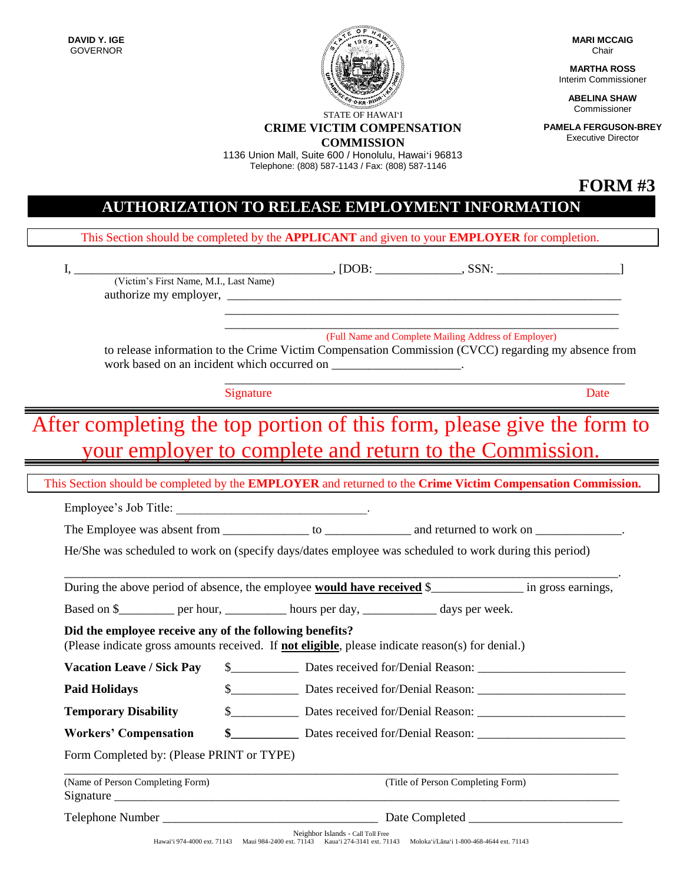**DAVID Y. IGE** GOVERNOR



**CRIME VICTIM COMPENSATION COMMISSION**

1136 Union Mall, Suite 600 / Honolulu, Hawai'i 96813 Telephone: (808) 587-1143 / Fax: (808) 587-1146

**MARI MCCAIG** Chair

**MARTHA ROSS** Interim Commissioner

> **ABELINA SHAW** Commissioner

**PAMELA FERGUSON-BREY** Executive Director

**FORM #3**

# **AUTHORIZATION TO RELEASE EMPLOYMENT INFORMATION**

This Section should be completed by the **APPLICANT** and given to your **EMPLOYER** for completion.

I, \_\_\_\_\_\_\_\_\_\_\_\_\_\_\_\_\_\_\_\_\_\_\_\_\_\_\_\_\_\_\_\_\_\_\_\_\_\_\_\_\_\_, [DOB: \_\_\_\_\_\_\_\_\_\_\_\_\_\_, SSN: \_\_\_\_\_\_\_\_\_\_\_\_\_\_\_\_\_\_\_\_] (Victim's First Name, M.I., Last Name) authorize my employer, \_\_\_\_\_\_\_\_\_\_\_\_\_\_\_\_\_\_\_\_\_\_\_\_\_\_\_\_\_\_\_\_\_\_\_\_\_\_\_\_\_\_\_\_\_\_\_\_\_\_\_\_\_\_\_\_\_\_\_\_\_\_\_\_ \_\_\_\_\_\_\_\_\_\_\_\_\_\_\_\_\_\_\_\_\_\_\_\_\_\_\_\_\_\_\_\_\_\_\_\_\_\_\_\_\_\_\_\_\_\_\_\_\_\_\_\_\_\_\_\_\_\_\_\_\_\_\_\_ (Full Name and Complete Mailing Address of Employer) to release information to the Crime Victim Compensation Commission (CVCC) regarding my absence from work based on an incident which occurred on  $\qquad$ \_\_\_\_\_\_\_\_\_\_\_\_\_\_\_\_\_\_\_\_\_\_\_\_\_\_\_\_\_\_\_\_\_\_\_\_\_\_\_\_\_\_\_\_\_\_\_\_\_\_\_\_\_\_\_\_\_\_\_\_\_\_\_\_\_ Signature Date After completing the top portion of this form, please give the form to your employer to complete and return to the Commission. This Section should be completed by the **EMPLOYER** and returned to the **Crime Victim Compensation Commission.** Employee's Job Title: The Employee was absent from to be and returned to work on  $\Box$ He/She was scheduled to work on (specify days/dates employee was scheduled to work during this period) \_\_\_\_\_\_\_\_\_\_\_\_\_\_\_\_\_\_\_\_\_\_\_\_\_\_\_\_\_\_\_\_\_\_\_\_\_\_\_\_\_\_\_\_\_\_\_\_\_\_\_\_\_\_\_\_\_\_\_\_\_\_\_\_\_\_\_\_\_\_\_\_\_\_\_\_\_\_\_\_\_\_\_\_\_\_\_\_\_\_. During the above period of absence, the employee **would have received** \$\_\_\_\_\_\_\_\_\_\_\_\_\_\_\_ in gross earnings, Based on \$ \_\_\_\_\_\_\_ per hour, hours per day, days per week. **Did the employee receive any of the following benefits?** (Please indicate gross amounts received. If **not eligible**, please indicate reason(s) for denial.) **Vacation Leave / Sick Pay**  $\qquad$  **\$** Dates received for/Denial Reason: **Paid Holidays**  $\frac{1}{2}$  Dates received for/Denial Reason: **Temporary Disability** \$\_\_\_\_\_\_\_\_\_\_\_ Dates received for/Denial Reason: \_\_\_\_\_\_\_\_\_\_\_\_\_\_\_\_\_\_\_\_\_\_\_\_ **Workers' Compensation \$\_\_\_\_\_\_\_\_\_\_\_** Dates received for/Denial Reason: \_\_\_\_\_\_\_\_\_\_\_\_\_\_\_\_\_\_\_\_\_\_\_\_ Form Completed by: (Please PRINT or TYPE) \_\_\_\_\_\_\_\_\_\_\_\_\_\_\_\_\_\_\_\_\_\_\_\_\_\_\_\_\_\_\_\_\_\_\_\_\_\_\_\_\_\_\_\_\_\_\_\_\_\_\_\_\_\_\_\_\_\_\_\_\_\_\_\_\_\_\_\_\_\_\_\_\_\_\_\_\_\_\_\_\_\_\_\_\_\_\_\_\_\_ (Name of Person Completing Form) (Title of Person Completing Form) Signature Telephone Number \_\_\_\_\_\_\_\_\_\_\_\_\_\_\_\_\_\_\_\_\_\_\_\_\_\_\_\_\_\_\_\_\_\_\_ Date Completed \_\_\_\_\_\_\_\_\_\_\_\_\_\_\_\_\_\_\_\_\_\_\_\_\_

> Neighbor Islands - Call Toll Free Hawai'i 974-4000 ext. 71143 Maui 984-2400 ext. 71143 Kaua'i 274-3141 ext. 71143 Moloka'i/Lāna'i 1-800-468-4644 ext. 71143